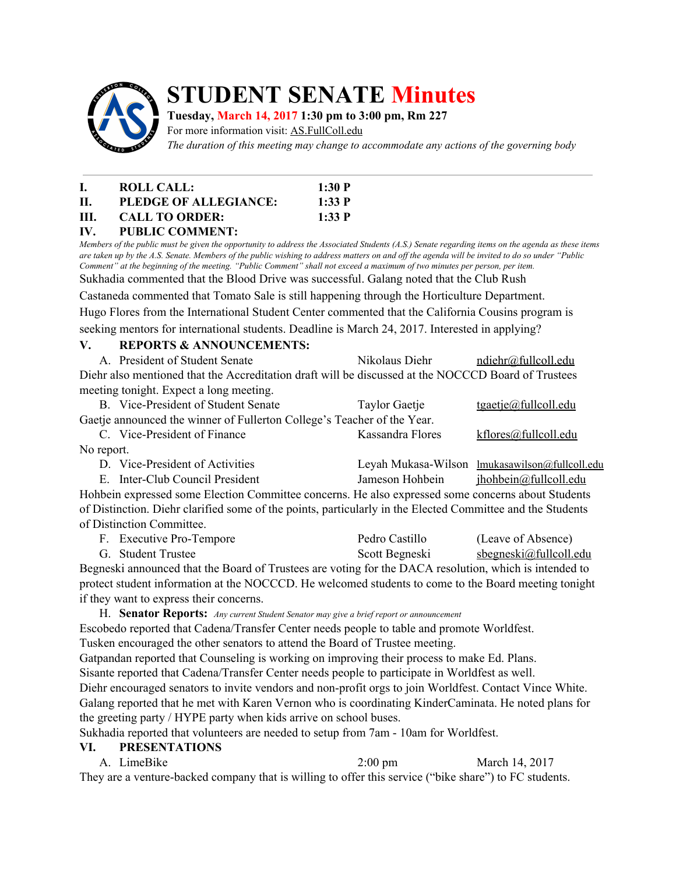

# **STUDENT SENATE Minutes**

## **Tuesday, March 14, 2017 1:30 pm to 3:00 pm, Rm 227**

For more information visit: AS.FullColl.edu

*The duration of this meeting may change to accommodate any actions of the governing body*

| Т.   | ROLL CALL:            | 1:30 P |
|------|-----------------------|--------|
| H.   | PLEDGE OF ALLEGIANCE: | 1:33 P |
| III. | <b>CALL TO ORDER:</b> | 1:33 P |
|      | IV. PUBLIC COMMENT:   |        |

Members of the public must be given the opportunity to address the Associated Students (A.S.) Senate regarding items on the agenda as these items are taken up by the A.S. Senate. Members of the public wishing to address matters on and off the agenda will be invited to do so under "Public Comment" at the beginning of the meeting. "Public Comment" shall not exceed a maximum of two minutes per person, per item.

Sukhadia commented that the Blood Drive was successful. Galang noted that the Club Rush

Castaneda commented that Tomato Sale is still happening through the Horticulture Department.

Hugo Flores from the International Student Center commented that the California Cousins program is seeking mentors for international students. Deadline is March 24, 2017. Interested in applying?

## **V. REPORTS & ANNOUNCEMENTS:**

A. President of Student Senate Nikolaus Diehr [ndiehr@fullcoll.edu](mailto:ndiehr@fullcoll.edu) Diehr also mentioned that the Accreditation draft will be discussed at the NOCCCD Board of Trustees meeting tonight. Expect a long meeting.

|                                                                         | B. Vice-President of Student Senate | Taylor Gaetje    | <u>tgaetje@fullcoll.edu</u> |  |  |
|-------------------------------------------------------------------------|-------------------------------------|------------------|-----------------------------|--|--|
| Gaetje announced the winner of Fullerton College's Teacher of the Year. |                                     |                  |                             |  |  |
|                                                                         | C. Vice-President of Finance        | Kassandra Flores | $k$ flores $@$ fullcoll.edu |  |  |
| No report.                                                              |                                     |                  |                             |  |  |

| D. Vice-President of Activities                                                                            |                 | Leyah Mukasa-Wilson lmukasawilson@fullcoll.edu |  |  |  |
|------------------------------------------------------------------------------------------------------------|-----------------|------------------------------------------------|--|--|--|
| E. Inter-Club Council President                                                                            | Jameson Hohbein | jhohbein@fullcoll.edu                          |  |  |  |
| Hohbein expressed some Election Committee concerns. He also expressed some concerns about Students         |                 |                                                |  |  |  |
| of Distinction. Diehr clarified some of the points, particularly in the Elected Committee and the Students |                 |                                                |  |  |  |

of Distinction Committee. F. Executive Pro-Tempore Pedro Castillo (Leave of Absence)

G. Student Trustee Scott Begneski sbegneski@fullcoll.edu Begneski announced that the Board of Trustees are voting for the DACA resolution, which is intended to protect student information at the NOCCCD. He welcomed students to come to the Board meeting tonight if they want to express their concerns.

H. **Senator Reports:** *Any current Student Senator may give <sup>a</sup> brief report or announcement*

Escobedo reported that Cadena/Transfer Center needs people to table and promote Worldfest. Tusken encouraged the other senators to attend the Board of Trustee meeting. Gatpandan reported that Counseling is working on improving their process to make Ed. Plans. Sisante reported that Cadena/Transfer Center needs people to participate in Worldfest as well. Diehr encouraged senators to invite vendors and non-profit orgs to join Worldfest. Contact Vince White. Galang reported that he met with Karen Vernon who is coordinating KinderCaminata. He noted plans for

the greeting party / HYPE party when kids arrive on school buses.

Sukhadia reported that volunteers are needed to setup from 7am - 10am for Worldfest.

#### **VI. PRESENTATIONS**

A. LimeBike 2:00 pm March 14, 2017

They are a venture-backed company that is willing to offer this service ("bike share") to FC students.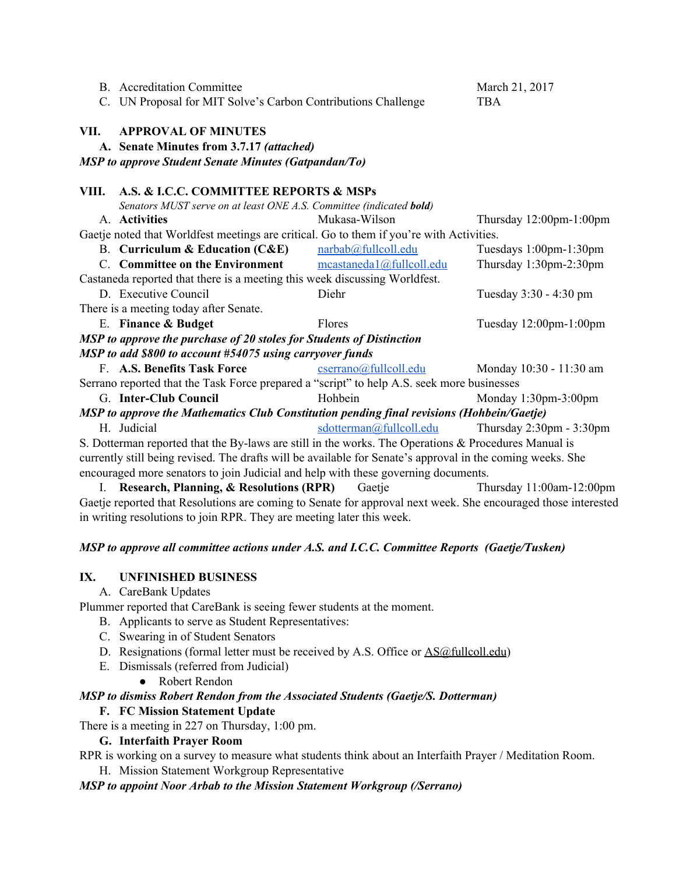|                                                                                                               | <b>B.</b> Accreditation Committee                                                                          |                          | March 21, 2017                             |  |  |  |
|---------------------------------------------------------------------------------------------------------------|------------------------------------------------------------------------------------------------------------|--------------------------|--------------------------------------------|--|--|--|
|                                                                                                               | C. UN Proposal for MIT Solve's Carbon Contributions Challenge                                              |                          | <b>TBA</b>                                 |  |  |  |
| VII.                                                                                                          | <b>APPROVAL OF MINUTES</b><br>A. Senate Minutes from 3.7.17 (attached)                                     |                          |                                            |  |  |  |
| <b>MSP</b> to approve Student Senate Minutes (Gatpandan/To)                                                   |                                                                                                            |                          |                                            |  |  |  |
| VIII.                                                                                                         | A.S. & I.C.C. COMMITTEE REPORTS & MSPs                                                                     |                          |                                            |  |  |  |
|                                                                                                               | Senators MUST serve on at least ONE A.S. Committee (indicated bold)                                        |                          |                                            |  |  |  |
|                                                                                                               | A. Activities                                                                                              | Mukasa-Wilson            | Thursday $12:00$ pm- $1:00$ pm             |  |  |  |
|                                                                                                               | Gaetje noted that Worldfest meetings are critical. Go to them if you're with Activities.                   |                          |                                            |  |  |  |
|                                                                                                               | <b>B.</b> Curriculum & Education $(CAE)$                                                                   | narbab@fullcoll.edu      | Tuesdays 1:00pm-1:30pm                     |  |  |  |
|                                                                                                               | C. Committee on the Environment                                                                            | mcastaneda1@fullcoll.edu | Thursday 1:30pm-2:30pm                     |  |  |  |
| Castaneda reported that there is a meeting this week discussing Worldfest.                                    |                                                                                                            |                          |                                            |  |  |  |
|                                                                                                               | D. Executive Council                                                                                       | Diehr                    | Tuesday 3:30 - 4:30 pm                     |  |  |  |
|                                                                                                               | There is a meeting today after Senate.                                                                     |                          |                                            |  |  |  |
|                                                                                                               | E. Finance & Budget                                                                                        | Flores                   | Tuesday $12:00$ pm- $1:00$ pm              |  |  |  |
|                                                                                                               | MSP to approve the purchase of 20 stoles for Students of Distinction                                       |                          |                                            |  |  |  |
|                                                                                                               | MSP to add \$800 to account #54075 using carryover funds                                                   |                          |                                            |  |  |  |
|                                                                                                               | F. A.S. Benefits Task Force                                                                                | cserrano@fullcoll.edu    | Monday 10:30 - 11:30 am                    |  |  |  |
|                                                                                                               | Serrano reported that the Task Force prepared a "script" to help A.S. seek more businesses                 |                          |                                            |  |  |  |
|                                                                                                               | G. Inter-Club Council                                                                                      | Hohbein                  | Monday 1:30pm-3:00pm                       |  |  |  |
| MSP to approve the Mathematics Club Constitution pending final revisions (Hohbein/Gaetje)                     |                                                                                                            |                          |                                            |  |  |  |
|                                                                                                               | H. Judicial                                                                                                | sdotterman@fullcoll.edu  | Thursday $2:30 \text{pm} - 3:30 \text{pm}$ |  |  |  |
|                                                                                                               | S. Dotterman reported that the By-laws are still in the works. The Operations & Procedures Manual is       |                          |                                            |  |  |  |
|                                                                                                               | currently still being revised. The drafts will be available for Senate's approval in the coming weeks. She |                          |                                            |  |  |  |
| encouraged more senators to join Judicial and help with these governing documents.                            |                                                                                                            |                          |                                            |  |  |  |
|                                                                                                               | I. Research, Planning, & Resolutions (RPR)                                                                 | Gaetje                   | Thursday 11:00am-12:00pm                   |  |  |  |
| Gaetje reported that Resolutions are coming to Senate for approval next week. She encouraged those interested |                                                                                                            |                          |                                            |  |  |  |
|                                                                                                               | in writing resolutions to join RPR. They are meeting later this week.                                      |                          |                                            |  |  |  |

## *MSP to approve all committee actions under A.S. and I.C.C. Committee Reports (Gaetje/Tusken)*

## **IX. UNFINISHED BUSINESS**

A. CareBank Updates

Plummer reported that CareBank is seeing fewer students at the moment.

- B. Applicants to serve as Student Representatives:
- C. Swearing in of Student Senators
- D. Resignations (formal letter must be received by A.S. Office or **AS@fullcoll.edu**)
- E. Dismissals (referred from Judicial)
	- Robert Rendon

#### *MSP to dismiss Robert Rendon from the Associated Students (Gaetje/S. Dotterman)* **F. FC Mission Statement Update**

# There is a meeting in 227 on Thursday, 1:00 pm.

# **G. Interfaith Prayer Room**

RPR is working on a survey to measure what students think about an Interfaith Prayer / Meditation Room.

H. Mission Statement Workgroup Representative

# *MSP to appoint Noor Arbab to the Mission Statement Workgroup (/Serrano)*